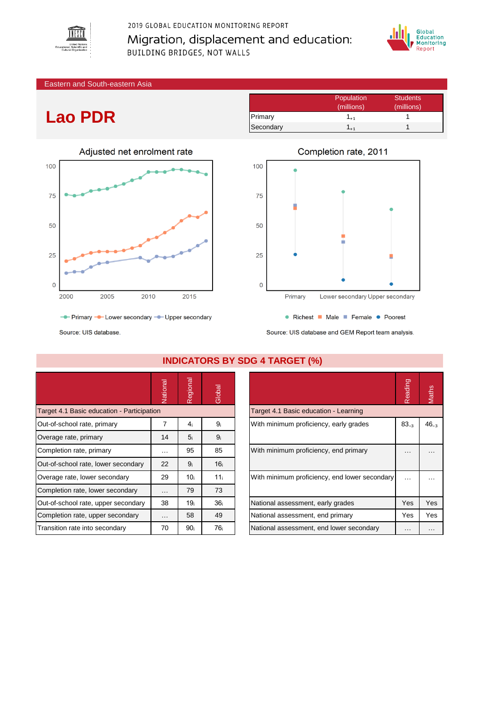

2019 GLOBAL EDUCATION MONITORING REPORT Migration, displacement and education: BUILDING BRIDGES, NOT WALLS



Eastern and South-eastern Asia

## **Lao PDR**



|           | Population      | <b>Students</b> |
|-----------|-----------------|-----------------|
|           | (millions)      | (millions)      |
| Primary   | 1 <sub>+1</sub> |                 |
| Secondary |                 |                 |



Source: UIS database

|                                            | Vational | Regional        | Global          |                                               | Reading   | Maths     |
|--------------------------------------------|----------|-----------------|-----------------|-----------------------------------------------|-----------|-----------|
| Target 4.1 Basic education - Participation |          |                 |                 | Target 4.1 Basic education - Learning         |           |           |
| Out-of-school rate, primary                | 7        | 4 <sub>i</sub>  | 9 <sub>i</sub>  | With minimum proficiency, early grades        | $83_{-3}$ | $46_{-3}$ |
| Overage rate, primary                      | 14       | 5 <sub>i</sub>  | 9 <sub>i</sub>  |                                               |           |           |
| Completion rate, primary                   | $\cdots$ | 95              | 85              | With minimum proficiency, end primary         | .         |           |
| Out-of-school rate, lower secondary        | 22       | 9 <sub>i</sub>  | 16 <sub>i</sub> |                                               |           |           |
| Overage rate, lower secondary              | 29       | 10 <sub>i</sub> | 11 <sub>i</sub> | With minimum proficiency, end lower secondary | $\cdots$  |           |
| Completion rate, lower secondary           | $\cdots$ | 79              | 73              |                                               |           |           |
| Out-of-school rate, upper secondary        | 38       | 19 <sub>i</sub> | 36 <sub>i</sub> | National assessment, early grades             | Yes       | Yes       |
| Completion rate, upper secondary           | $\cdots$ | 58              | 49              | National assessment, end primary              | Yes       | Yes       |
| Transition rate into secondary             | 70       | 90 <sub>i</sub> | 76 <sub>i</sub> | National assessment, end lower secondary      | $\cdots$  | $\cdots$  |

### **INDICATORS BY SDG 4 TARGET (%)**

|                                               | Reading   |           |
|-----------------------------------------------|-----------|-----------|
| Target 4.1 Basic education - Learning         |           |           |
| With minimum proficiency, early grades        | $83_{-3}$ | $46_{-3}$ |
| With minimum proficiency, end primary         |           |           |
| With minimum proficiency, end lower secondary |           |           |
| National assessment, early grades             | Yes       | Yes       |
| National assessment, end primary              | Yes       | Yes       |
| National assessment, end lower secondary      |           |           |

# • Richest • Male • Female • Poorest

Source: UIS database and GEM Report team analysis.